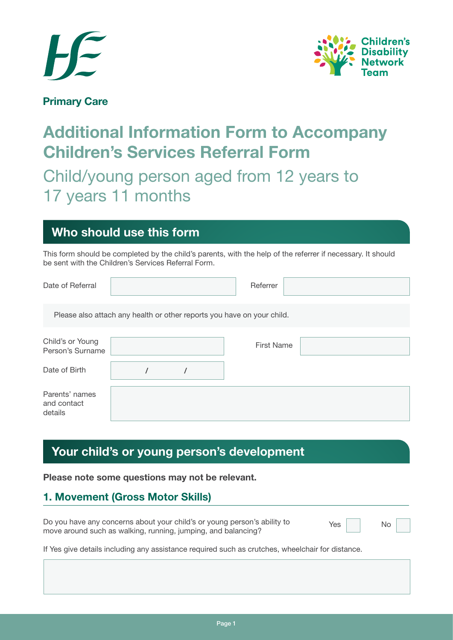



**Primary Care**

# **Additional Information Form to Accompany Children's Services Referral Form**

# Child/young person aged from 12 years to 17 years 11 months

# **Who should use this form**

This form should be completed by the child's parents, with the help of the referrer if necessary. It should be sent with the Children's Services Referral Form.

| Date of Referral                         |  | Referrer                                                               |  |
|------------------------------------------|--|------------------------------------------------------------------------|--|
|                                          |  | Please also attach any health or other reports you have on your child. |  |
| Child's or Young<br>Person's Surname     |  | <b>First Name</b>                                                      |  |
| Date of Birth                            |  |                                                                        |  |
| Parents' names<br>and contact<br>details |  |                                                                        |  |

# **Your child's or young person's development**

**Please note some questions may not be relevant.**

## **1. Movement (Gross Motor Skills)**

| Do you have any concerns about your child's or young person's ability to | Yes | No |  |
|--------------------------------------------------------------------------|-----|----|--|
| move around such as walking, running, jumping, and balancing?            |     |    |  |
|                                                                          |     |    |  |

If Yes give details including any assistance required such as crutches, wheelchair for distance.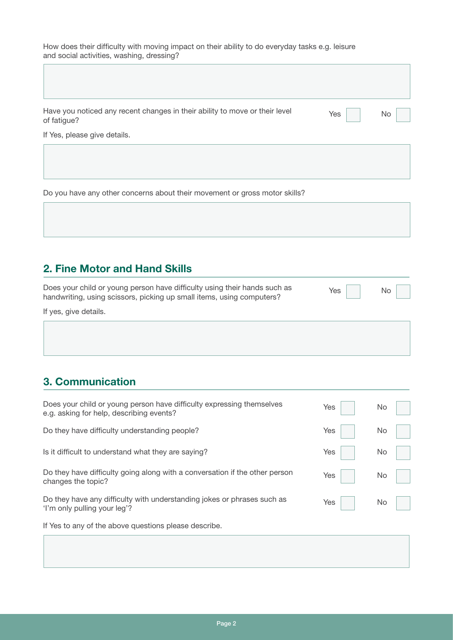How does their difficulty with moving impact on their ability to do everyday tasks e.g. leisure and social activities, washing, dressing?

| Have you noticed any recent changes in their ability to move or their level<br>of fatigue? | Yes | No |
|--------------------------------------------------------------------------------------------|-----|----|
| If Yes, please give details.                                                               |     |    |

Do you have any other concerns about their movement or gross motor skills?

### **2. Fine Motor and Hand Skills**

| Does your child or young person have difficulty using their hands such as | $Yes$ $\Box$                |  |
|---------------------------------------------------------------------------|-----------------------------|--|
| handwriting, using scissors, picking up small items, using computers?     | and the control of the con- |  |
|                                                                           |                             |  |

If yes, give details.

 $\Box$ 

## **3. Communication**

| Does your child or young person have difficulty expressing themselves<br>e.g. asking for help, describing events? | Yes | No |
|-------------------------------------------------------------------------------------------------------------------|-----|----|
| Do they have difficulty understanding people?                                                                     | Yes | No |
| Is it difficult to understand what they are saying?                                                               | Yes | No |
| Do they have difficulty going along with a conversation if the other person<br>changes the topic?                 | Yes | No |
| Do they have any difficulty with understanding jokes or phrases such as<br>'I'm only pulling your leg'?           | Yes | No |
| If Yes to any of the above questions please describe.                                                             |     |    |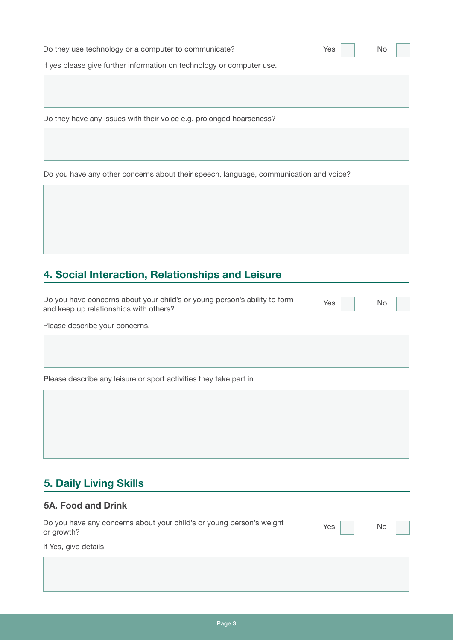| Do they use technology or a computer to communicate?                  | Yes | No |
|-----------------------------------------------------------------------|-----|----|
| If yes please give further information on technology or computer use. |     |    |
|                                                                       |     |    |
|                                                                       |     |    |
| Do they have any issues with their voice e.g. prolonged hoarseness?   |     |    |

Do you have any other concerns about their speech, language, communication and voice?

## **4. Social Interaction, Relationships and Leisure**

Do you have concerns about your child's or young person's ability to form and keep up relationships with others?

Yes

No

Please describe your concerns.

Please describe any leisure or sport activities they take part in.

## **5. Daily Living Skills**

#### **5A. Food and Drink**

| Do you have any concerns about your child's or young person's weight<br>or growth? | $Yes$ $\Box$ | No |  |
|------------------------------------------------------------------------------------|--------------|----|--|
|                                                                                    |              |    |  |

If Yes, give details.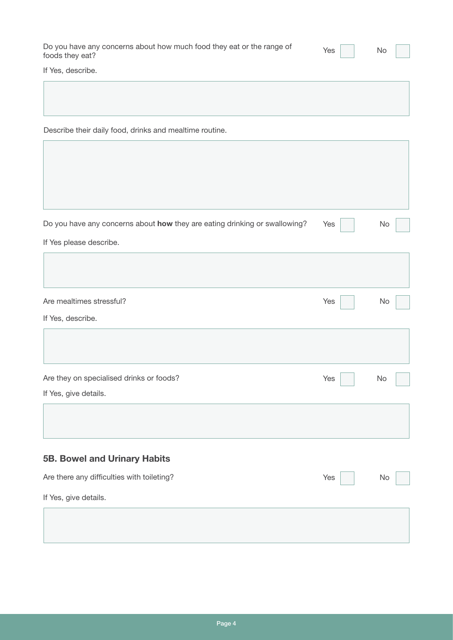| Do you have any concerns about how much food they eat or the range of | $Yes$ | No |
|-----------------------------------------------------------------------|-------|----|
| foods they eat?                                                       |       |    |

ī

If Yes, describe.

 $\mathcal{L}^{\text{max}}$ 

Describe their daily food, drinks and mealtime routine.

| Do you have any concerns about how they are eating drinking or swallowing? | Yes | No |
|----------------------------------------------------------------------------|-----|----|
| If Yes please describe.                                                    |     |    |
|                                                                            |     |    |
| Are mealtimes stressful?                                                   | Yes | No |
| If Yes, describe.                                                          |     |    |
|                                                                            |     |    |
| Are they on specialised drinks or foods?                                   | Yes | No |
| If Yes, give details.                                                      |     |    |
|                                                                            |     |    |
| <b>5B. Bowel and Urinary Habits</b>                                        |     |    |
| Are there any difficulties with toileting?                                 | Yes | No |
| If Yes, give details.                                                      |     |    |
|                                                                            |     |    |
|                                                                            |     |    |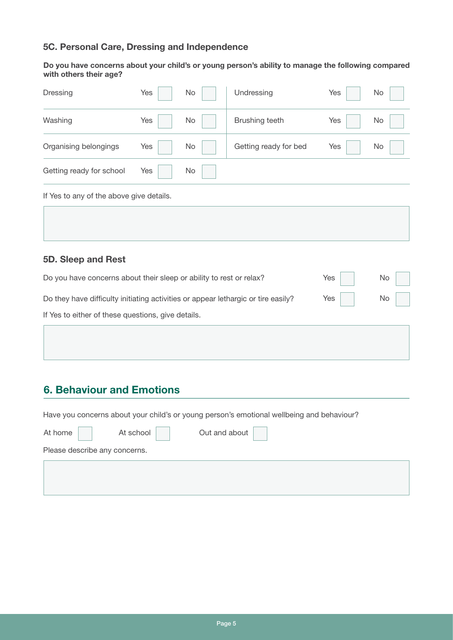#### **5C. Personal Care, Dressing and Independence**

**Do you have concerns about your child's or young person's ability to manage the following compared with others their age?**

| Dressing                                 | Yes | No | Undressing            | Yes | <b>No</b> |
|------------------------------------------|-----|----|-----------------------|-----|-----------|
| Washing                                  | Yes | No | Brushing teeth        | Yes | No        |
| Organising belongings                    | Yes | No | Getting ready for bed | Yes | <b>No</b> |
| Getting ready for school                 | Yes | No |                       |     |           |
| If Yes to any of the above give details. |     |    |                       |     |           |

#### **5D. Sleep and Rest**

| Do you have concerns about their sleep or ability to rest or relax?               | $Yes \mid \cdot \mid$ | $\mathsf{No}$ |  |
|-----------------------------------------------------------------------------------|-----------------------|---------------|--|
| Do they have difficulty initiating activities or appear lethargic or tire easily? |                       | Yes No        |  |
| If Yes to either of these questions, give details.                                |                       |               |  |

### **6. Behaviour and Emotions**

Have you concerns about your child's or young person's emotional wellbeing and behaviour?

| At home $\vert$               | At school | Out and about |
|-------------------------------|-----------|---------------|
| Please describe any concerns. |           |               |
|                               |           |               |
|                               |           |               |
|                               |           |               |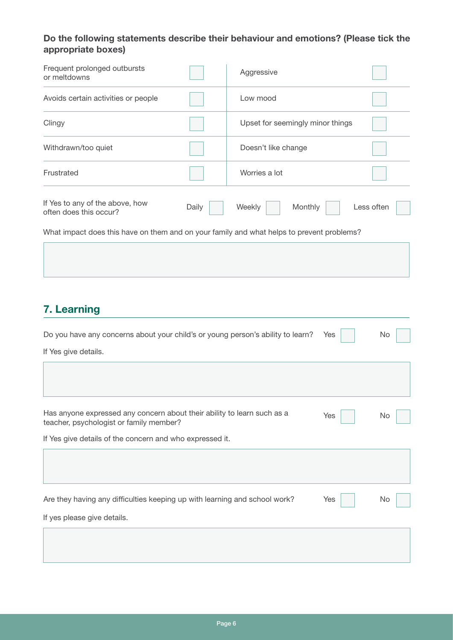#### **Do the following statements describe their behaviour and emotions? (Please tick the appropriate boxes)**

| Frequent prolonged outbursts<br>or meltdowns                                              |       | Aggressive                       |            |  |
|-------------------------------------------------------------------------------------------|-------|----------------------------------|------------|--|
| Avoids certain activities or people                                                       |       | Low mood                         |            |  |
| Clingy                                                                                    |       | Upset for seemingly minor things |            |  |
| Withdrawn/too quiet                                                                       |       | Doesn't like change              |            |  |
| Frustrated                                                                                |       | Worries a lot                    |            |  |
| If Yes to any of the above, how<br>often does this occur?                                 | Daily | Monthly<br>Weekly                | Less often |  |
| What impact does this have on them and on your family and what helps to prevent problems? |       |                                  |            |  |
|                                                                                           |       |                                  |            |  |

# **7. Learning**

| Do you have any concerns about your child's or young person's ability to learn?                                    | Yes | No  |
|--------------------------------------------------------------------------------------------------------------------|-----|-----|
| If Yes give details.                                                                                               |     |     |
|                                                                                                                    |     |     |
|                                                                                                                    |     |     |
| Has anyone expressed any concern about their ability to learn such as a<br>teacher, psychologist or family member? | Yes | No. |
| If Yes give details of the concern and who expressed it.                                                           |     |     |
|                                                                                                                    |     |     |
|                                                                                                                    |     |     |
| Are they having any difficulties keeping up with learning and school work?                                         | Yes | No  |
| If yes please give details.                                                                                        |     |     |
|                                                                                                                    |     |     |
|                                                                                                                    |     |     |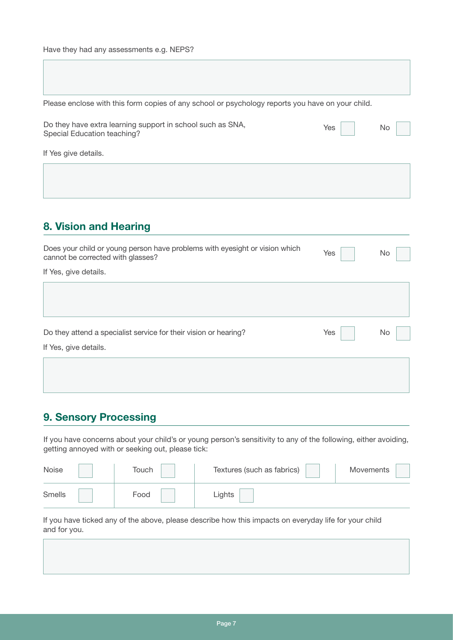Please enclose with this form copies of any school or psychology reports you have on your child.

| Do they have extra learning support in school such as SNA, | Yes | $\overline{\phantom{a}}$ No $\overline{\phantom{a}}$ |  |
|------------------------------------------------------------|-----|------------------------------------------------------|--|
| Special Education teaching?                                |     |                                                      |  |

If Yes give details.

### **8. Vision and Hearing**

| Does your child or young person have problems with eyesight or vision which<br>cannot be corrected with glasses? | Yes | No |
|------------------------------------------------------------------------------------------------------------------|-----|----|
| If Yes, give details.                                                                                            |     |    |
|                                                                                                                  |     |    |
|                                                                                                                  |     |    |
|                                                                                                                  |     |    |
| Do they attend a specialist service for their vision or hearing?                                                 | Yes | No |
| If Yes, give details.                                                                                            |     |    |
|                                                                                                                  |     |    |
|                                                                                                                  |     |    |

#### **9. Sensory Processing**

If you have concerns about your child's or young person's sensitivity to any of the following, either avoiding, getting annoyed with or seeking out, please tick:

| Noise  | Touch | Textures (such as fabrics) | Movements |
|--------|-------|----------------------------|-----------|
| Smells | Food  | .ights                     |           |

If you have ticked any of the above, please describe how this impacts on everyday life for your child and for you.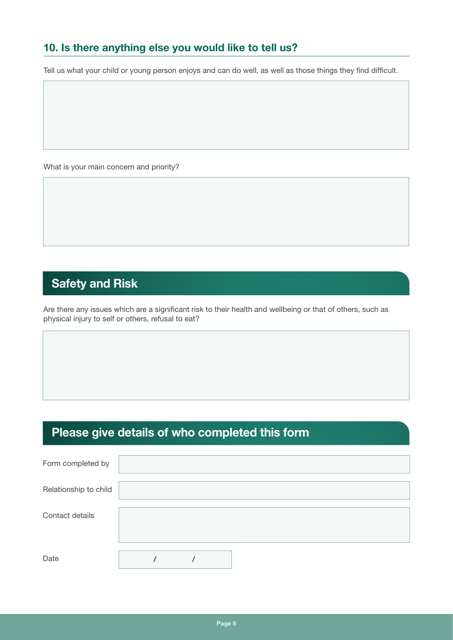## **10. Is there anything else you would like to tell us?**

Tell us what your child or young person enjoys and can do well, as well as those things they find difficult.

What is your main concern and priority?

# **Safety and Risk**

Are there any issues which are a significant risk to their health and wellbeing or that of others, such as physical injury to self or others, refusal to eat?

# **Please give details of who completed this form**

| Form completed by     |  |  |  |  |
|-----------------------|--|--|--|--|
| Relationship to child |  |  |  |  |
| Contact details       |  |  |  |  |
| Date                  |  |  |  |  |